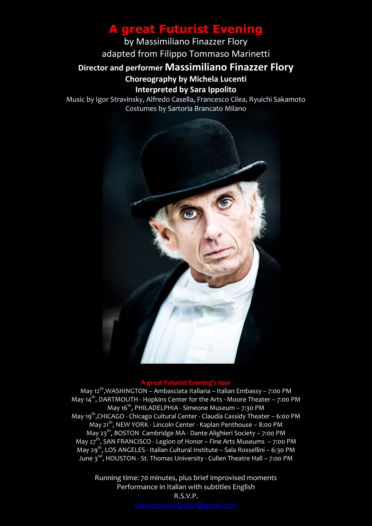## **A great Futurist Evening**

by Massimiliano Finazzer Flory adapted from Filippo Tommaso Marinetti **Director and performer Massimiliano Finazzer Flory Choreography by Michela Lucenti Interpreted by Sara Ippolito**

Music by Igor Stravinsky, Alfredo Casella, Francesco Cilea, Ryuichi Sakamoto Costumes by Sartoria Brancato Milano



## **A great Futurist Evening's tour**

May 12<sup>th</sup>,WASHINGTON – Ambasciata Italiana – Italian Embassy – 7:00 PM May  $14<sup>th</sup>$ , DARTMOUTH - Hopkins Center for the Arts - Moore Theater – 7:00 PM May  $16^{th}$ , PHILADELPHIA - Simeone Museum – 7:30 PM May 19<sup>th</sup>,CHICAGO - Chicago Cultural Center - Claudia Cassidy Theater - 6:00 PM May 21<sup>th</sup>, NEW YORK - Lincoln Center - Kaplan Penthouse - 8:00 PM May 23<sup>th</sup>, BOSTON Cambridge MA - Dante Alighieri Society - 7:00 PM May 27<sup>th</sup>, SAN FRANCISCO - Legion of Honor – Fine Arts Museums – 7:00 PM May 29<sup>th</sup>, LOS ANGELES - Italian Cultural Institute – Sala Rossellini – 6:30 PM June 3<sup>nd</sup>, HOUSTON - St. Thomas University - Cullen Theatre Hall - 7:00 PM

> Running time: 70 minutes, plus brief improvised moments Performance in Italian with subtitles English R.S.V.P.